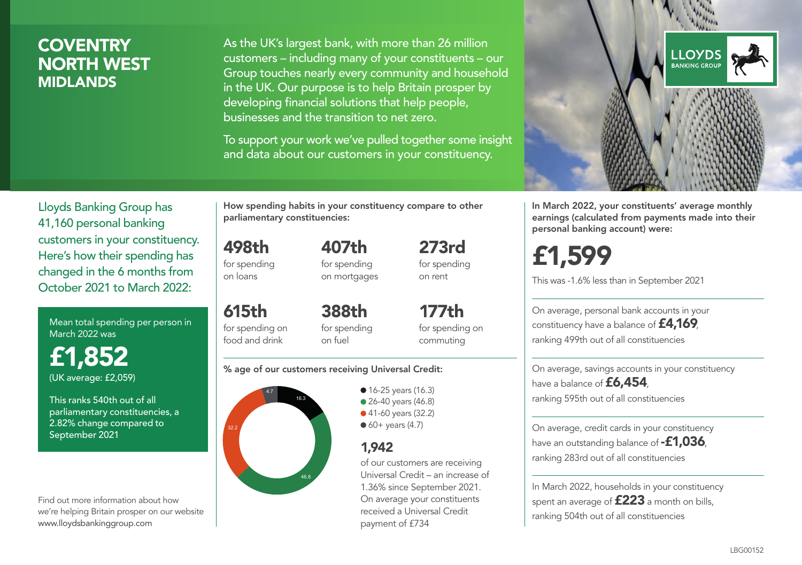# **COVENTRY** NORTH WEST MIDLANDS

As the UK's largest bank, with more than 26 million customers – including many of your constituents – our Group touches nearly every community and household in the UK. Our purpose is to help Britain prosper by developing financial solutions that help people, businesses and the transition to net zero.

To support your work we've pulled together some insight and data about our customers in your constituency.



Mean total spending per person in March 2022 was

£1,852 (UK average: £2,059)

This ranks 540th out of all parliamentary constituencies, a 2.82% change compared to September 2021

Find out more information about how we're helping Britain prosper on our website www.lloydsbankinggroup.com

How spending habits in your constituency compare to other parliamentary constituencies:

498th for spending on loans

615th

food and drink

for spending on mortgages

407th

273rd for spending on rent

for spending on 388th for spending on fuel

177th for spending on commuting

#### % age of our customers receiving Universal Credit:



• 16-25 years (16.3) • 26-40 years (46.8) ● 41-60 years (32.2)  $60+$  years (4.7)

## 1,942

of our customers are receiving Universal Credit – an increase of 1.36% since September 2021. On average your constituents received a Universal Credit payment of £734



In March 2022, your constituents' average monthly earnings (calculated from payments made into their personal banking account) were:

# £1,599

This was -1.6% less than in September 2021

On average, personal bank accounts in your constituency have a balance of £4,169, ranking 499th out of all constituencies

On average, savings accounts in your constituency have a balance of £6,454, ranking 595th out of all constituencies

On average, credit cards in your constituency have an outstanding balance of **-£1,036**, ranking 283rd out of all constituencies

In March 2022, households in your constituency spent an average of **£223** a month on bills, ranking 504th out of all constituencies